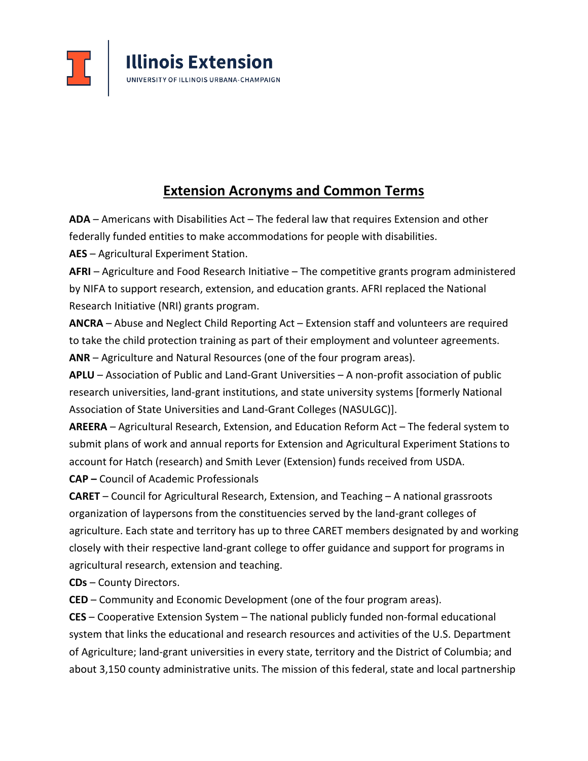

## **Extension Acronyms and Common Terms**

**ADA** – Americans with Disabilities Act – The federal law that requires Extension and other federally funded entities to make accommodations for people with disabilities.

**AES** – Agricultural Experiment Station.

**AFRI** – Agriculture and Food Research Initiative – The competitive grants program administered by NIFA to support research, extension, and education grants. AFRI replaced the National Research Initiative (NRI) grants program.

**ANCRA** – Abuse and Neglect Child Reporting Act – Extension staff and volunteers are required to take the child protection training as part of their employment and volunteer agreements. **ANR** – Agriculture and Natural Resources (one of the four program areas).

**APLU** – Association of Public and Land-Grant Universities – A non-profit association of public research universities, land-grant institutions, and state university systems [formerly National Association of State Universities and Land-Grant Colleges (NASULGC)].

**AREERA** – Agricultural Research, Extension, and Education Reform Act – The federal system to submit plans of work and annual reports for Extension and Agricultural Experiment Stations to account for Hatch (research) and Smith Lever (Extension) funds received from USDA. **CAP –** Council of Academic Professionals

**CARET** – Council for Agricultural Research, Extension, and Teaching – A national grassroots organization of laypersons from the constituencies served by the land-grant colleges of agriculture. Each state and territory has up to three CARET members designated by and working closely with their respective land-grant college to offer guidance and support for programs in agricultural research, extension and teaching.

**CDs** – County Directors.

**CED** – Community and Economic Development (one of the four program areas).

**CES** – Cooperative Extension System – The national publicly funded non-formal educational system that links the educational and research resources and activities of the U.S. Department of Agriculture; land-grant universities in every state, territory and the District of Columbia; and about 3,150 county administrative units. The mission of this federal, state and local partnership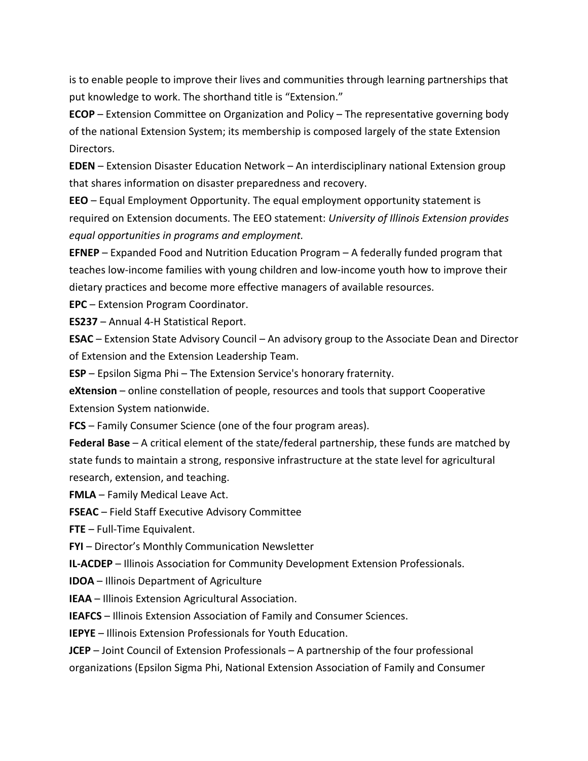is to enable people to improve their lives and communities through learning partnerships that put knowledge to work. The shorthand title is "Extension."

**ECOP** – Extension Committee on Organization and Policy – The representative governing body of the national Extension System; its membership is composed largely of the state Extension Directors.

**EDEN** – Extension Disaster Education Network – An interdisciplinary national Extension group that shares information on disaster preparedness and recovery.

**EEO** – Equal Employment Opportunity. The equal employment opportunity statement is required on Extension documents. The EEO statement: *University of Illinois Extension provides equal opportunities in programs and employment.*

**EFNEP** – Expanded Food and Nutrition Education Program – A federally funded program that teaches low-income families with young children and low-income youth how to improve their dietary practices and become more effective managers of available resources.

**EPC** – Extension Program Coordinator.

**ES237** – Annual 4-H Statistical Report.

**ESAC** – Extension State Advisory Council – An advisory group to the Associate Dean and Director of Extension and the Extension Leadership Team.

**ESP** – Epsilon Sigma Phi – The Extension Service's honorary fraternity.

**eXtension** – online constellation of people, resources and tools that support Cooperative Extension System nationwide.

**FCS** – Family Consumer Science (one of the four program areas).

**Federal Base** – A critical element of the state/federal partnership, these funds are matched by state funds to maintain a strong, responsive infrastructure at the state level for agricultural research, extension, and teaching.

**FMLA** – Family Medical Leave Act.

**FSEAC** – Field Staff Executive Advisory Committee

**FTE** – Full-Time Equivalent.

**FYI** – Director's Monthly Communication Newsletter

**IL-ACDEP** – Illinois Association for Community Development Extension Professionals.

**IDOA** – Illinois Department of Agriculture

**IEAA** – Illinois Extension Agricultural Association.

**IEAFCS** – Illinois Extension Association of Family and Consumer Sciences.

**IEPYE** – Illinois Extension Professionals for Youth Education.

**JCEP** – Joint Council of Extension Professionals – A partnership of the four professional organizations (Epsilon Sigma Phi, National Extension Association of Family and Consumer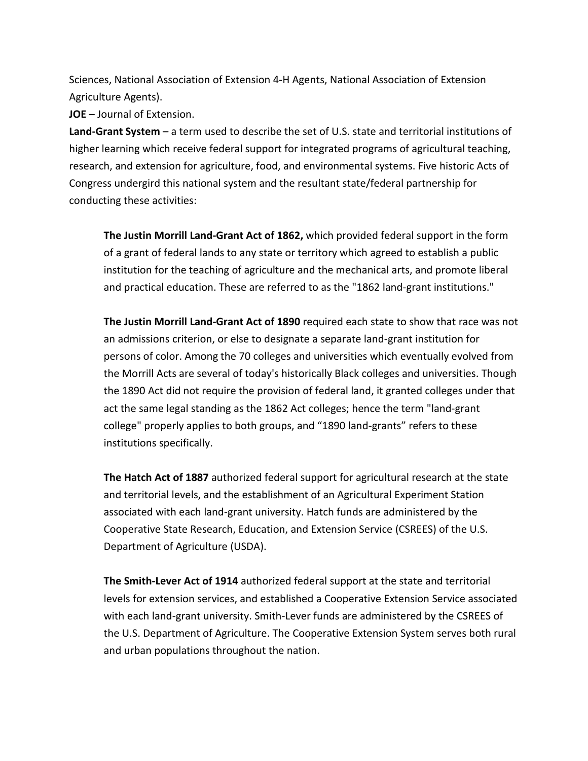Sciences, National Association of Extension 4-H Agents, National Association of Extension Agriculture Agents).

**JOE** – Journal of Extension.

**Land-Grant System** – a term used to describe the set of U.S. state and territorial institutions of higher learning which receive federal support for integrated programs of agricultural teaching, research, and extension for agriculture, food, and environmental systems. Five historic Acts of Congress undergird this national system and the resultant state/federal partnership for conducting these activities:

**The Justin Morrill Land-Grant Act of 1862,** which provided federal support in the form of a grant of federal lands to any state or territory which agreed to establish a public institution for the teaching of agriculture and the mechanical arts, and promote liberal and practical education. These are referred to as the "1862 land-grant institutions."

**The Justin Morrill Land-Grant Act of 1890** required each state to show that race was not an admissions criterion, or else to designate a separate land-grant institution for persons of color. Among the 70 colleges and universities which eventually evolved from the Morrill Acts are several of today's historically Black colleges and universities. Though the 1890 Act did not require the provision of federal land, it granted colleges under that act the same legal standing as the 1862 Act colleges; hence the term "land-grant college" properly applies to both groups, and "1890 land-grants" refers to these institutions specifically.

**The Hatch Act of 1887** authorized federal support for agricultural research at the state and territorial levels, and the establishment of an Agricultural Experiment Station associated with each land-grant university. Hatch funds are administered by the Cooperative State Research, Education, and Extension Service (CSREES) of the U.S. Department of Agriculture (USDA).

**The Smith-Lever Act of 1914** authorized federal support at the state and territorial levels for extension services, and established a Cooperative Extension Service associated with each land-grant university. Smith-Lever funds are administered by the CSREES of the U.S. Department of Agriculture. The Cooperative Extension System serves both rural and urban populations throughout the nation.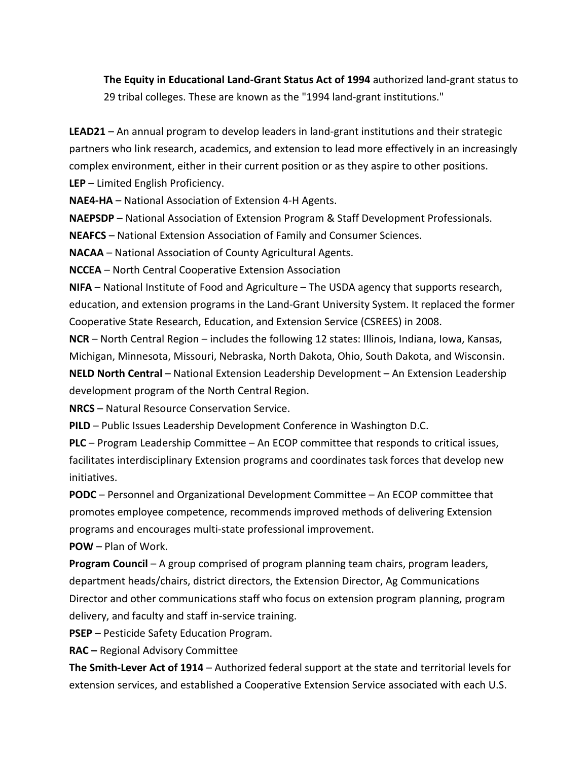**The Equity in Educational Land-Grant Status Act of 1994** authorized land-grant status to 29 tribal colleges. These are known as the "1994 land-grant institutions."

**LEAD21** – An annual program to develop leaders in land-grant institutions and their strategic partners who link research, academics, and extension to lead more effectively in an increasingly complex environment, either in their current position or as they aspire to other positions. **LEP** – Limited English Proficiency.

**NAE4-HA** – National Association of Extension 4-H Agents.

**NAEPSDP** – National Association of Extension Program & Staff Development Professionals.

**NEAFCS** – National Extension Association of Family and Consumer Sciences.

**NACAA** – National Association of County Agricultural Agents.

**NCCEA** – North Central Cooperative Extension Association

**NIFA** – National Institute of Food and Agriculture – The USDA agency that supports research, education, and extension programs in the Land-Grant University System. It replaced the former Cooperative State Research, Education, and Extension Service (CSREES) in 2008.

**NCR** – North Central Region – includes the following 12 states: Illinois, Indiana, Iowa, Kansas, Michigan, Minnesota, Missouri, Nebraska, North Dakota, Ohio, South Dakota, and Wisconsin. **NELD North Central** – National Extension Leadership Development – An Extension Leadership development program of the North Central Region.

**NRCS** – Natural Resource Conservation Service.

**PILD** – Public Issues Leadership Development Conference in Washington D.C.

**PLC** – Program Leadership Committee – An ECOP committee that responds to critical issues, facilitates interdisciplinary Extension programs and coordinates task forces that develop new initiatives.

**PODC** – Personnel and Organizational Development Committee – An ECOP committee that promotes employee competence, recommends improved methods of delivering Extension programs and encourages multi-state professional improvement.

**POW** – Plan of Work.

**Program Council** – A group comprised of program planning team chairs, program leaders, department heads/chairs, district directors, the Extension Director, Ag Communications Director and other communications staff who focus on extension program planning, program delivery, and faculty and staff in-service training.

**PSEP** – Pesticide Safety Education Program.

**RAC –** Regional Advisory Committee

**The Smith-Lever Act of 1914** – Authorized federal support at the state and territorial levels for extension services, and established a Cooperative Extension Service associated with each U.S.